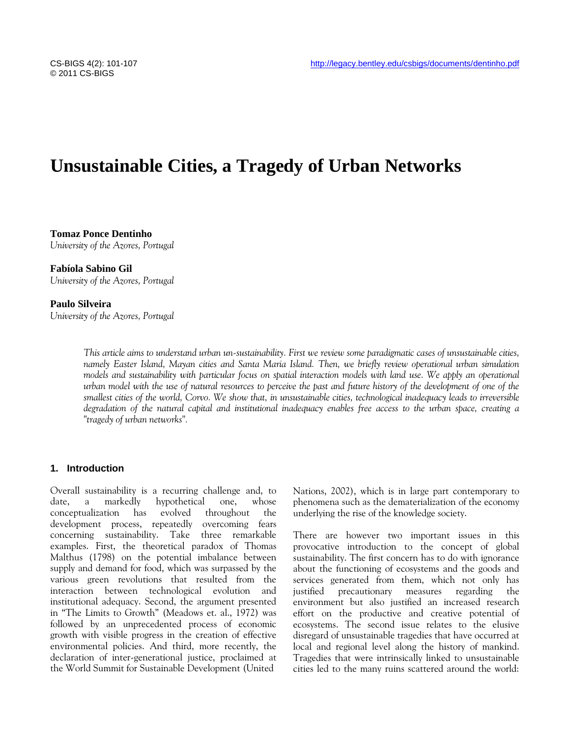# **Unsustainable Cities, a Tragedy of Urban Networks**

**Tomaz Ponce Dentinho** *University of the Azores, Portugal*

**Fabíola Sabino Gil**  *University of the Azores, Portugal*

# **Paulo Silveira**

*University of the Azores, Portugal*

*This article aims to understand urban un-sustainability. First we review some paradigmatic cases of unsustainable cities, namely Easter Island, Mayan cities and Santa Maria Island. Then, we briefly review operational urban simulation models and sustainability with particular focus on spatial interaction models with land use. We apply an operational urban model with the use of natural resources to perceive the past and future history of the development of one of the smallest cities of the world, Corvo. We show that, in unsustainable cities, technological inadequacy leads to irreversible degradation of the natural capital and institutional inadequacy enables free access to the urban space, creating a "tragedy of urban networks".*

# **1. Introduction**

Overall sustainability is a recurring challenge and, to date, a markedly hypothetical one, whose conceptualization has evolved throughout the development process, repeatedly overcoming fears concerning sustainability. Take three remarkable examples. First, the theoretical paradox of Thomas Malthus (1798) on the potential imbalance between supply and demand for food, which was surpassed by the various green revolutions that resulted from the interaction between technological evolution and institutional adequacy. Second, the argument presented in "The Limits to Growth" (Meadows et. al., 1972) was followed by an unprecedented process of economic growth with visible progress in the creation of effective environmental policies. And third, more recently, the declaration of inter-generational justice, proclaimed at the World Summit for Sustainable Development (United

Nations, 2002), which is in large part contemporary to phenomena such as the dematerialization of the economy underlying the rise of the knowledge society.

There are however two important issues in this provocative introduction to the concept of global sustainability. The first concern has to do with ignorance about the functioning of ecosystems and the goods and services generated from them, which not only has justified precautionary measures regarding the environment but also justified an increased research effort on the productive and creative potential of ecosystems. The second issue relates to the elusive disregard of unsustainable tragedies that have occurred at local and regional level along the history of mankind. Tragedies that were intrinsically linked to unsustainable cities led to the many ruins scattered around the world: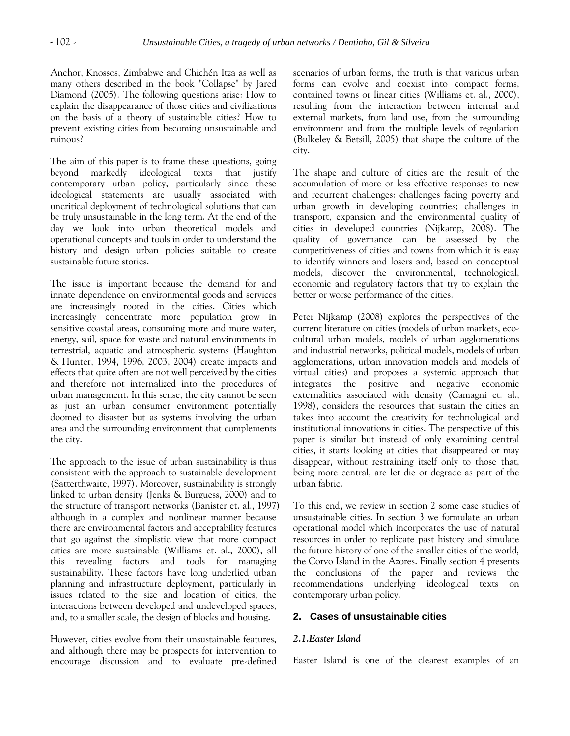Anchor, Knossos, Zimbabwe and Chichén Itza as well as many others described in the book "Collapse" by Jared Diamond (2005). The following questions arise: How to explain the disappearance of those cities and civilizations on the basis of a theory of sustainable cities? How to prevent existing cities from becoming unsustainable and ruinous?

The aim of this paper is to frame these questions, going beyond markedly ideological texts that justify contemporary urban policy, particularly since these ideological statements are usually associated with uncritical deployment of technological solutions that can be truly unsustainable in the long term. At the end of the day we look into urban theoretical models and operational concepts and tools in order to understand the history and design urban policies suitable to create sustainable future stories.

The issue is important because the demand for and innate dependence on environmental goods and services are increasingly rooted in the cities. Cities which increasingly concentrate more population grow in sensitive coastal areas, consuming more and more water, energy, soil, space for waste and natural environments in terrestrial, aquatic and atmospheric systems (Haughton & Hunter, 1994, 1996, 2003, 2004) create impacts and effects that quite often are not well perceived by the cities and therefore not internalized into the procedures of urban management. In this sense, the city cannot be seen as just an urban consumer environment potentially doomed to disaster but as systems involving the urban area and the surrounding environment that complements the city.

The approach to the issue of urban sustainability is thus consistent with the approach to sustainable development (Satterthwaite, 1997). Moreover, sustainability is strongly linked to urban density (Jenks & Burguess, 2000) and to the structure of transport networks (Banister et. al., 1997) although in a complex and nonlinear manner because there are environmental factors and acceptability features that go against the simplistic view that more compact cities are more sustainable (Williams et. al., 2000), all this revealing factors and tools for managing sustainability. These factors have long underlied urban planning and infrastructure deployment, particularly in issues related to the size and location of cities, the interactions between developed and undeveloped spaces, and, to a smaller scale, the design of blocks and housing.

However, cities evolve from their unsustainable features, and although there may be prospects for intervention to encourage discussion and to evaluate pre-defined scenarios of urban forms, the truth is that various urban forms can evolve and coexist into compact forms, contained towns or linear cities (Williams et. al., 2000), resulting from the interaction between internal and external markets, from land use, from the surrounding environment and from the multiple levels of regulation (Bulkeley & Betsill, 2005) that shape the culture of the city.

The shape and culture of cities are the result of the accumulation of more or less effective responses to new and recurrent challenges: challenges facing poverty and urban growth in developing countries; challenges in transport, expansion and the environmental quality of cities in developed countries (Nijkamp, 2008). The quality of governance can be assessed by the competitiveness of cities and towns from which it is easy to identify winners and losers and, based on conceptual models, discover the environmental, technological, economic and regulatory factors that try to explain the better or worse performance of the cities.

Peter Nijkamp (2008) explores the perspectives of the current literature on cities (models of urban markets, ecocultural urban models, models of urban agglomerations and industrial networks, political models, models of urban agglomerations, urban innovation models and models of virtual cities) and proposes a systemic approach that integrates the positive and negative economic externalities associated with density (Camagni et. al., 1998), considers the resources that sustain the cities an takes into account the creativity for technological and institutional innovations in cities. The perspective of this paper is similar but instead of only examining central cities, it starts looking at cities that disappeared or may disappear, without restraining itself only to those that, being more central, are let die or degrade as part of the urban fabric.

To this end, we review in section 2 some case studies of unsustainable cities. In section 3 we formulate an urban operational model which incorporates the use of natural resources in order to replicate past history and simulate the future history of one of the smaller cities of the world, the Corvo Island in the Azores. Finally section 4 presents the conclusions of the paper and reviews the recommendations underlying ideological texts on contemporary urban policy.

# **2. Cases of unsustainable cities**

# *2.1.Easter Island*

Easter Island is one of the clearest examples of an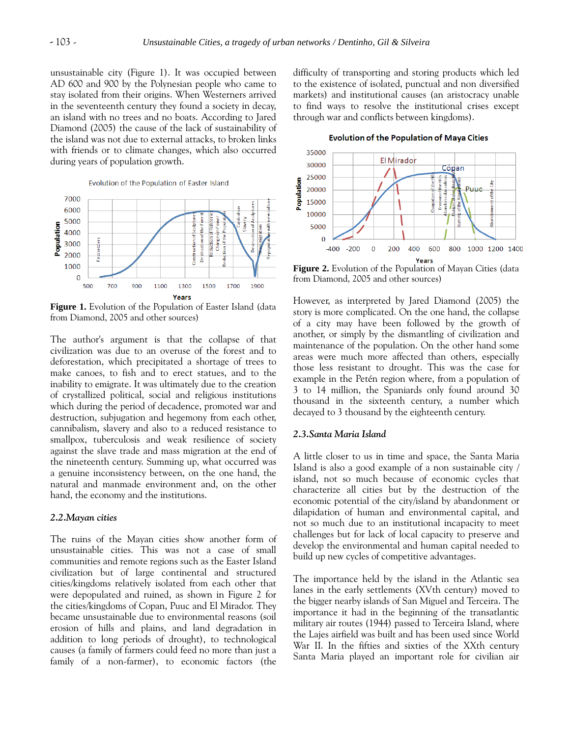unsustainable city (Figure 1). It was occupied between AD 600 and 900 by the Polynesian people who came to stay isolated from their origins. When Westerners arrived in the seventeenth century they found a society in decay, an island with no trees and no boats. According to Jared Diamond (2005) the cause of the lack of sustainability of the island was not due to external attacks, to broken links with friends or to climate changes, which also occurred during years of population growth.



**Figure 1.** Evolution of the Population of Easter Island (data from Diamond, 2005 and other sources)

The author's argument is that the collapse of that civilization was due to an overuse of the forest and to deforestation, which precipitated a shortage of trees to make canoes, to fish and to erect statues, and to the inability to emigrate. It was ultimately due to the creation of crystallized political, social and religious institutions which during the period of decadence, promoted war and destruction, subjugation and hegemony from each other, cannibalism, slavery and also to a reduced resistance to smallpox, tuberculosis and weak resilience of society against the slave trade and mass migration at the end of the nineteenth century. Summing up, what occurred was a genuine inconsistency between, on the one hand, the natural and manmade environment and, on the other hand, the economy and the institutions.

## *2.2.Mayan cities*

The ruins of the Mayan cities show another form of unsustainable cities. This was not a case of small communities and remote regions such as the Easter Island civilization but of large continental and structured cities/kingdoms relatively isolated from each other that were depopulated and ruined, as shown in Figure 2 for the cities/kingdoms of Copan, Puuc and El Mirador. They became unsustainable due to environmental reasons (soil erosion of hills and plains, and land degradation in addition to long periods of drought), to technological causes (a family of farmers could feed no more than just a family of a non-farmer), to economic factors (the difficulty of transporting and storing products which led to the existence of isolated, punctual and non diversified markets) and institutional causes (an aristocracy unable to find ways to resolve the institutional crises except through war and conflicts between kingdoms).

**Evolution of the Population of Maya Cities** 



**Figure 2.** Evolution of the Population of Mayan Cities (data from Diamond, 2005 and other sources)

However, as interpreted by Jared Diamond (2005) the story is more complicated. On the one hand, the collapse of a city may have been followed by the growth of another, or simply by the dismantling of civilization and maintenance of the population. On the other hand some areas were much more affected than others, especially those less resistant to drought. This was the case for example in the Petén region where, from a population of 3 to 14 million, the Spaniards only found around 30 thousand in the sixteenth century, a number which decayed to 3 thousand by the eighteenth century.

## *2.3.Santa Maria Island*

A little closer to us in time and space, the Santa Maria Island is also a good example of a non sustainable city / island, not so much because of economic cycles that characterize all cities but by the destruction of the economic potential of the city/island by abandonment or dilapidation of human and environmental capital, and not so much due to an institutional incapacity to meet challenges but for lack of local capacity to preserve and develop the environmental and human capital needed to build up new cycles of competitive advantages.

The importance held by the island in the Atlantic sea lanes in the early settlements (XVth century) moved to the bigger nearby islands of San Miguel and Terceira. The importance it had in the beginning of the transatlantic military air routes (1944) passed to Terceira Island, where the Lajes airfield was built and has been used since World War II. In the fifties and sixties of the XXth century Santa Maria played an important role for civilian air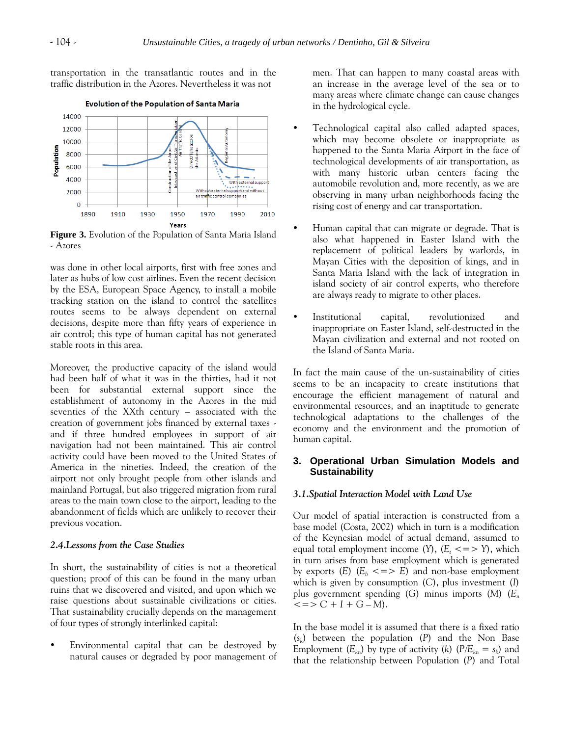14000 12000 10000

> 8000 6000 4000

2000

 $\Omega$ 

1890

1910

Population

With external suppo

2010

Without external support and without

1990

air traffic control companies

1970

transportation in the transatlantic routes and in the traffic distribution in the Azores. Nevertheless it was not

**Evolution of the Population of Santa Maria** 



1930

È.

1950

was done in other local airports, first with free zones and later as hubs of low cost airlines. Even the recent decision by the ESA, European Space Agency, to install a mobile tracking station on the island to control the satellites routes seems to be always dependent on external decisions, despite more than fifty years of experience in air control; this type of human capital has not generated stable roots in this area.

Moreover, the productive capacity of the island would had been half of what it was in the thirties, had it not been for substantial external support since the establishment of autonomy in the Azores in the mid seventies of the XXth century – associated with the creation of government jobs financed by external taxes and if three hundred employees in support of air navigation had not been maintained. This air control activity could have been moved to the United States of America in the nineties. Indeed, the creation of the airport not only brought people from other islands and mainland Portugal, but also triggered migration from rural areas to the main town close to the airport, leading to the abandonment of fields which are unlikely to recover their previous vocation.

#### *2.4.Lessons from the Case Studies*

In short, the sustainability of cities is not a theoretical question; proof of this can be found in the many urban ruins that we discovered and visited, and upon which we raise questions about sustainable civilizations or cities. That sustainability crucially depends on the management of four types of strongly interlinked capital:

 Environmental capital that can be destroyed by natural causes or degraded by poor management of men. That can happen to many coastal areas with an increase in the average level of the sea or to many areas where climate change can cause changes in the hydrological cycle.

- Technological capital also called adapted spaces, which may become obsolete or inappropriate as happened to the Santa Maria Airport in the face of technological developments of air transportation, as with many historic urban centers facing the automobile revolution and, more recently, as we are observing in many urban neighborhoods facing the rising cost of energy and car transportation.
- Human capital that can migrate or degrade. That is also what happened in Easter Island with the replacement of political leaders by warlords, in Mayan Cities with the deposition of kings, and in Santa Maria Island with the lack of integration in island society of air control experts, who therefore are always ready to migrate to other places.
- Institutional capital, revolutionized and inappropriate on Easter Island, self-destructed in the Mayan civilization and external and not rooted on the Island of Santa Maria.

In fact the main cause of the un-sustainability of cities seems to be an incapacity to create institutions that encourage the efficient management of natural and environmental resources, and an inaptitude to generate technological adaptations to the challenges of the economy and the environment and the promotion of human capital.

## **3. Operational Urban Simulation Models and Sustainability**

## *3.1.Spatial Interaction Model with Land Use*

Our model of spatial interaction is constructed from a base model (Costa, 2002) which in turn is a modification of the Keynesian model of actual demand, assumed to equal total employment income  $(Y)$ ,  $(E_t \leq y)$ , which in turn arises from base employment which is generated by exports  $(E)$   $(E_b \leq E)$  and non-base employment which is given by consumption (*C*), plus investment (*I*) plus government spending (*G*) minus imports (*M*) (*E<sup>n</sup>*  $\langle 2 | 2 | 2 | 3 | 4 | 5 | 5 | 6 - M \rangle$ .

In the base model it is assumed that there is a fixed ratio (*sk* ) between the population (*P*) and the Non Base Employment  $(E_{kn})$  by type of activity  $(k)$   $(P/E_{kn} = s_k)$  and that the relationship between Population (*P*) and Total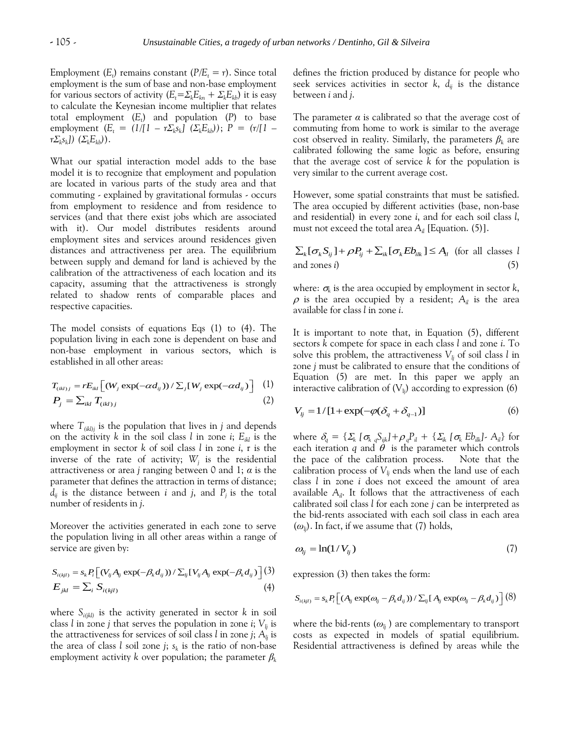Employment  $(E_t)$  remains constant  $(P/E_t = r)$ . Since total employment is the sum of base and non-base employment for various sectors of activity  $(E_t = \sum_k E_{kn} + \sum_k E_{kb})$  it is easy to calculate the Keynesian income multiplier that relates total employment (*E<sup>t</sup>* ) and population (*P*) to base employment  $(E_t = (1/[1 - r\Sigma_k s_k] \Sigma(E_k b));$   $P = (r/[1 - r\Sigma_k s_k] \Sigma(E_k b));$ *rΣ<sup>k</sup> sk ]) (ΣkEkb)*).

What our spatial interaction model adds to the base model it is to recognize that employment and population are located in various parts of the study area and that commuting - explained by gravitational formulas - occurs from employment to residence and from residence to services (and that there exist jobs which are associated with it). Our model distributes residents around employment sites and services around residences given distances and attractiveness per area. The equilibrium between supply and demand for land is achieved by the calibration of the attractiveness of each location and its capacity, assuming that the attractiveness is strongly related to shadow rents of comparable places and respective capacities.

The model consists of equations Eqs (1) to (4). The population living in each zone is dependent on base and non-base employment in various sectors, which is established in all other areas:

$$
T_{(ikl)} = rE_{ikl} \left[ (W_j \exp(-\alpha d_{ij})) / \sum_j [W_j \exp(-\alpha d_{ij})] \right] \tag{1}
$$
\n
$$
P_j = \sum_{ikl} T_{(ikl)j} \tag{2}
$$

where  $T_{(ikl)j}$  is the population that lives in *j* and depends on the activity *k* in the soil class *l* in zone *i*;  $E_{ikl}$  is the employment in sector *k* of soil class *l* in zone *i*, r is the inverse of the rate of activity; *W<sup>j</sup>* is the residential attractiveness or area *j* ranging between 0 and 1; *α* is the parameter that defines the attraction in terms of distance;  $d_{ij}$  is the distance between *i* and *j*, and  $P_j$  is the total number of residents in *j*.

Moreover the activities generated in each zone to serve the population living in all other areas within a range of service are given by:

$$
S_{i(kjl)} = s_k P_i \Big[ (V_{ij} A_{ij} \exp(-\beta_k d_{ij})) / \sum_{ij} [V_{ij} A_{ij} \exp(-\beta_k d_{ij})] \Big]
$$
\n
$$
E_{jkl} = \sum_i S_{i(kjl)} \tag{4}
$$

where  $S_{i(jkl)}$  is the activity generated in sector *k* in soil class *l* in zone *j* that serves the population in zone *i*;  $V_{lj}$  is the attractiveness for services of soil class *l* in zone *j*;  $A_{ij}$  is the area of class *l* soil zone *j*; *s<sup>k</sup>* is the ratio of non-base employment activity *k* over population; the parameter *β<sup>k</sup>*

defines the friction produced by distance for people who seek services activities in sector  $k$ ,  $d_{ii}$  is the distance between *i* and *j*.

The parameter *α* is calibrated so that the average cost of commuting from home to work is similar to the average cost observed in reality. Similarly, the parameters *β<sup>k</sup>* are calibrated following the same logic as before, ensuring that the average cost of service *k* for the population is very similar to the current average cost.

However, some spatial constraints that must be satisfied. The area occupied by different activities (base, non-base and residential) in every zone *i*, and for each soil class *l*, must not exceed the total area  $A_i$  [Equation. (5)].

 $\sum_{k} [\sigma_{k} S_{ij}] + \rho P_{ij} + \sum_{ik} [\sigma_{k} E b_{ik}] \leq A_{il}$  (for all classes *l* and zones *i*) (5)

where:  $\sigma_{\!k}$  is the area occupied by employment in sector  $k$ ,  $\rho$  is the area occupied by a resident;  $A_i$  is the area available for class *l* in zone *i*.

It is important to note that, in Equation (5), different sectors *k* compete for space in each class *l* and zone *i*. To solve this problem, the attractiveness  $V_{l_i}$  of soil class *l* in zone *j* must be calibrated to ensure that the conditions of Equation (5) are met. In this paper we apply an interactive calibration of  $(V_{li})$  according to expression (6)

$$
V_{ij} = 1/[1 + \exp(-\varphi(\delta_q + \delta_{q-1}))]
$$
 (6)

where  $\delta_q = {\sum_{k} [\sigma_{k_q} S_{ijk}] + \rho_q P_{il} + {\sum_{k} [\sigma_{k} E_{jkl}] - A_{il}}$  for each iteration *q* and  $\theta$  is the parameter which controls the pace of the calibration process. Note that the calibration process of  $V_{lj}$  ends when the land use of each class *l* in zone *i* does not exceed the amount of area available  $A_i$ . It follows that the attractiveness of each calibrated soil class *l* for each zone *j* can be interpreted as the bid-rents associated with each soil class in each area  $(\omega_{ij})$ . In fact, if we assume that (7) holds,

$$
\omega_{ij} = \ln(1/V_{ij})\tag{7}
$$

expression (3) then takes the form:

$$
S_{i(kjl)} = s_k P_i \Big[ (A_{lj} \exp(\omega_{lj} - \beta_k d_{ij})) / \sum_{ij} [A_{lj} \exp(\omega_{lj} - \beta_k d_{ij}) \Big] (8)
$$

where the bid-rents  $(\omega_i)$  are complementary to transport costs as expected in models of spatial equilibrium. Residential attractiveness is defined by areas while the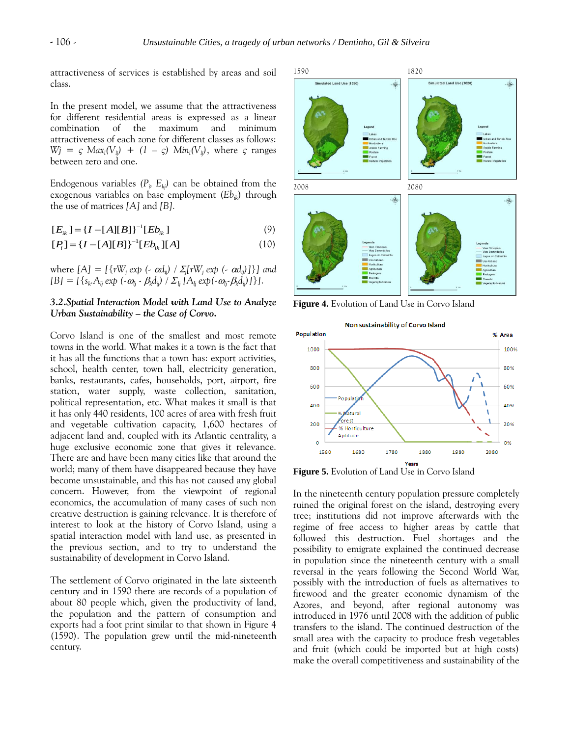attractiveness of services is established by areas and soil class.

In the present model, we assume that the attractiveness for different residential areas is expressed as a linear combination of the maximum and minimum attractiveness of each zone for different classes as follows:  $Wj = \varsigma$   $Max_l(V_{lj}) + (1 - \varsigma)$   $Min_l(V_{lj})$ , where  $\varsigma$  ranges between zero and one.

Endogenous variables  $(P_i, E_{kj})$  can be obtained from the exogenous variables on base employment (*Ebik*) through the use of matrices *[A]* and *[B].*

$$
[E_{ik}] = \{I - [A][B]\}^{-1} [Eb_{ik}]
$$
\n(9)

$$
[P_i] = \{I - [A][B]\}^{-1} [Eb_{ik}]
$$
  
(10)

where  $[A] = [\{rW_j \exp(-\alpha d_{ij}) / \Sigma_j [rW_j \exp(-\alpha d_{ij})]\}]$  and  $[B] = [\{s_k.A_{lj} \exp(-\omega_{lj} - \beta_k d_{ij}) / \Sigma_{lj} [A_{lj} \exp(-\omega_{lj} - \beta_k d_{ij})]\}.$ 

# *3.2.Spatial Interaction Model with Land Use to Analyze Urban Sustainability – the Case of Corvo.*

Corvo Island is one of the smallest and most remote towns in the world. What makes it a town is the fact that it has all the functions that a town has: export activities, school, health center, town hall, electricity generation, banks, restaurants, cafes, households, port, airport, fire station, water supply, waste collection, sanitation, political representation, etc. What makes it small is that it has only 440 residents, 100 acres of area with fresh fruit and vegetable cultivation capacity, 1,600 hectares of adjacent land and, coupled with its Atlantic centrality, a huge exclusive economic zone that gives it relevance. There are and have been many cities like that around the world; many of them have disappeared because they have become unsustainable, and this has not caused any global concern. However, from the viewpoint of regional economics, the accumulation of many cases of such non creative destruction is gaining relevance. It is therefore of interest to look at the history of Corvo Island, using a spatial interaction model with land use, as presented in the previous section, and to try to understand the sustainability of development in Corvo Island.

The settlement of Corvo originated in the late sixteenth century and in 1590 there are records of a population of about 80 people which, given the productivity of land, the population and the pattern of consumption and exports had a foot print similar to that shown in Figure 4 (1590). The population grew until the mid-nineteenth century.



**Figure 4.** Evolution of Land Use in Corvo Island



**Figure 5.** Evolution of Land Use in Corvo Island

In the nineteenth century population pressure completely ruined the original forest on the island, destroying every tree; institutions did not improve afterwards with the regime of free access to higher areas by cattle that followed this destruction. Fuel shortages and the possibility to emigrate explained the continued decrease in population since the nineteenth century with a small reversal in the years following the Second World War, possibly with the introduction of fuels as alternatives to firewood and the greater economic dynamism of the Azores, and beyond, after regional autonomy was introduced in 1976 until 2008 with the addition of public transfers to the island. The continued destruction of the small area with the capacity to produce fresh vegetables and fruit (which could be imported but at high costs) make the overall competitiveness and sustainability of the